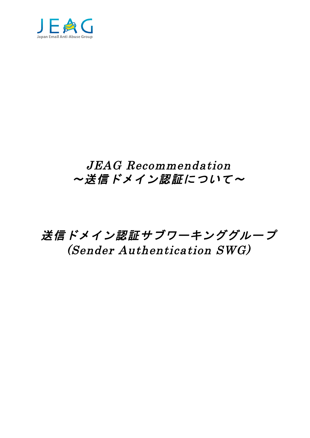

# JEAG Recommendation ~送信ドメイン認証について~

送信ドメイン認証サブワーキンググループ (Sender Authentication SWG)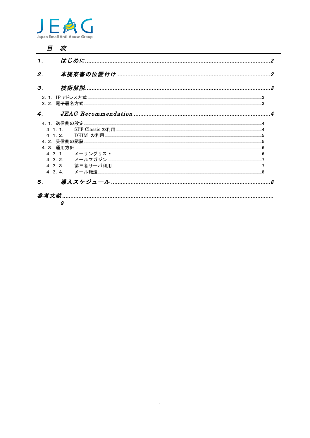

| 1. |   |  |
|----|---|--|
| 2. |   |  |
| 3. |   |  |
|    |   |  |
| 4. |   |  |
|    |   |  |
|    |   |  |
|    |   |  |
|    |   |  |
|    |   |  |
|    |   |  |
|    |   |  |
|    |   |  |
|    |   |  |
| 5. |   |  |
|    |   |  |
|    | 9 |  |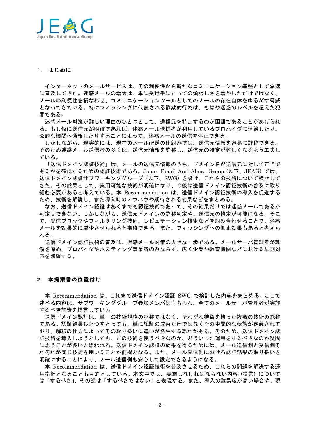

### 1. はじめに

インターネットのメールサービスは、その利便性から新たなコミュニケーション基盤として急速 に普及してきた。迷惑メールの増大は、単に受け手にとっての煩わしさを増やしただけではなく、 メールの利便性を損なわせ、コミュニケーションツールとしてのメールの存在自体をゆるがす脅威 となってきている。特にフィッシングに代表される詐欺的行為は、もはや迷惑のレベルを超えた犯 罪である。

迷惑メール対策が難しい理由のひとつとして、送信元を特定するのが困難であることがあげられ る。もし仮に送信元が明確であれば、迷惑メール送信者が利用しているプロバイダに連絡したり、 公的な機関へ通報したりすることによって、迷惑メールの送信を停止できる。

しかしながら、現実的には、現在のメール配送の仕組みでは、送信元情報を容易に詐称できる。 そのため迷惑メール送信者の多くは、送信元情報を詐称し、送信元の特定が難しくなるよう工夫し ている。

「送信ドメイン認証技術」は、メールの送信元情報のうち、ドメイン名が送信元に対して正当で あるかを確認するための認証技術である。Japan Email Anti-Abuse Group (以下、JEAG) では、 送信ドメイン認証サブワーキンググループ(以下、SWG)を設け、これらの技術について検討して きた。その成果として、実用可能な技術が明確になり、今後は送信ドメイン認証技術の普及に取り 組む必要があると考えている。本 Recommendation は、送信ドメイン認証技術の導入を促進する ため、技術を解説し、また導入時のノウハウや期待される効果などをまとめる。

なお、送信ドメイン認証はあくまでも認証技術であって、その結果だけでは迷惑メールであるか 判定はできない。しかしながら、送信元ドメインの詐称判定や、送信元の特定が可能になる。そこ で、受信ブロックやフィルタリング技術、レピュテーション技術などを組み合わせることで、迷惑 メールを効果的に減少させられると期待できる。また、フィッシングへの抑止効果もあると考えら れる。

送信ドメイン認証技術の普及は、迷惑メール対策の大きな一歩である。メールサーバ管理者が理 解を深め、プロバイダやホスティング事業者のみならず、広く企業や教育機関などにおける早期対 応を切望する。

### 2. 本提案書の位置付け

本 Recommendation は、これまで送信ドメイン認証 SWG で検討した内容をまとめる。ここで 述べる内容は、サブワーキンググループ参加メンバはもちろん、全てのメールサーバ管理者が実施 するべき施策を提言している。

送信ドメイン認証は、単一の技術規格の呼称ではなく、それぞれ特徴を持った複数の技術の総称 である。認証結果ひとつをとっても、単に認証の成否だけではなくその中間的な状態が定義されて おり、解釈の仕方によってその取り扱いに違いが発生する恐れがある。そのため、送信ドメイン認 証技術を導入しようとしても、どの技術を使うべきなのか、どういった運用をするべきなのか疑問 に思うことが多いと思われる。送信ドメイン認証の効果を得るためには、メール送信側と受信側そ れぞれが同じ技術を用いることが前提となる。また、メール受信側における認証結果の取り扱いを 明確にすることにより、メール送信側も安心して設定できるようになる。

本 Recommendation は、送信ドメイン認証技術を普及させるため、これらの問題を解決する運 用指針となることも目的としている。本文中では、実施しなければならない内容(提言)について は「するべき」、その逆は「するべきではない」と表現する。また、導入の難易度が高い場合や、現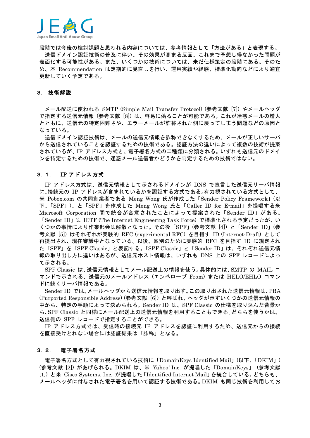

段階では今後の検討課題と思われる内容については、参考情報として「方法がある」と表現する。 送信ドメイン認証技術の普及に伴い、その効果が高まる反面、これまで予想し得なかった問題が 表面化する可能性がある。また、いくつかの技術については、未だ仕様策定の段階にある。そのた め、本 Recommendation は定期的に見直しを行い、運用実績や経験、標準化動向などにより適宜 更新していく予定である。

### 3. 技術解説

メール配送に使われる SMTP (Simple Mail Transfer Protocol) (参考文献 [7]) やメールヘッダ で指定する送信元情報(参考文献 [8])は、容易に偽ることが可能である。これが迷惑メールの増大 とともに、送信元の特定困難さや、エラーメールが詐称された側に戻ってしまう問題などの原因と なっている。

送信ドメイン認証技術は、メールの送信元情報を詐称できなくするため、メールが正しいサーバ から送信されていることを認証するための技術である。認証方法の違いによって複数の技術が提案 されているが、IP アドレス方式と、電子署名方式の二種類に分類される。いずれも送信元のドメイ ンを特定するための技術で、迷惑メール送信者かどうかを判定するための技術ではない。

#### $3.1.$ IP アドレス方式

IP アドレス方式は、送信元情報として示されるドメインが DNS で宣言した送信元サーバ情報 に、接続元の IP アドレスが含まれているかを認証する方式である。有力視されている方式として、 米 Pobox.com の共同創業者である Meng Wong 氏が作成した「Sender Policy Framework」(以 下、「SPF」)、と「SPF」を作成した Meng Wong 氏と「Caller ID for E-mail」を提唱する米 Microsoft Corporation 間で統合が合意されたことによって提案された「Sender ID」がある。 「Sender ID」は IETF (The Internet Engineering Task Force) で標準化される予定だったが、い くつかの事情により作業部会は解散となった。その後「SPF」(参考文献 [4]) と「Sender ID」(参 考文献 [5]) はそれぞれが実験的 RFC (experimental RFC) を目指す ID (Internet-Draft) として 再提出され、現在審議中となっている。以後、区別のために実験的 RFC を目指す ID に規定され た「SPF」を「SPF Classic」と表記する。「SPF Classic」と「Sender ID」は、それぞれ送信元情 報の取り出し方に違いはあるが、送信元ホスト情報は、いずれも DNS 上の SPF レコードによっ て示される。

SPF Classic は、送信元情報としてメール配送上の情報を使う。具体的には、SMTP の MAIL コ マンドで示される、送信元のメールアドレス (エンベロープ From) または HELO/EHLO コマン ドに続くサーバ情報である。

Sender ID では、メールヘッダから送信元情報を取り出す。この取り出された送信元情報は、PRA (Purported Responsible Address) (参考文献 [6]) と呼ばれ、ヘッダが示すいくつかの送信元情報の 中から、特定の手順によって決められる。Sender ID は、SPF Classic の仕様を取り込んだ背景か ら、SPF Classic と同様にメール配送上の送信元情報を利用することもできる。どちらを使うかは、 送信側の SPF レコードで指定することができる。

IP アドレス方式では、受信時の接続元 IP アドレスを認証に利用するため、送信元からの接続 を直接受けとれない場合には認証結果は「詐称」となる。

#### $3.2.$ 電子署名方式

電子署名方式として有力視されている技術に「DomainKeys Identified Mail」(以下、「DKIM」) (参考文献 [2]) があげられる。DKIM は、米 Yahoo! Inc. が提唱した「DomainKeys」 (参考文献 [1]) と米 Cisco Systems, Inc. が提唱した 「Identified Internet Mail」を統合している。どちらも、 メールヘッダに付与された電子署名を用いて認証する技術である。DKIM も同じ技術を利用してお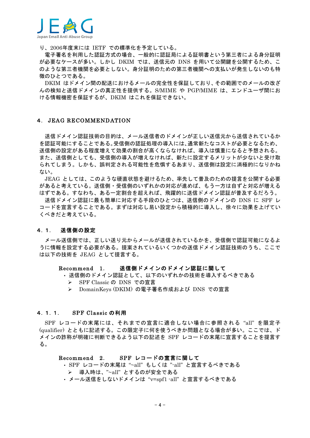

り、2006年度末には IETF での標準化を予定している。

電子署名を利用した認証方式の場合、一般的に認証局による証明書という第三者による身分証明 が必要なケースが多い。しかし DKIM では、送信元の DNS を用いて公開鍵を公開するため、こ のような第三者機関を必要としない。身分証明のための第三者機関への支払いが発生しないのも特 徴のひとつである。

DKIM はドメイン間の配送におけるメールの完全性を保証しており、その範囲でのメールの改ざ んの検知と送信ドメインの真正性を提供する。S/MIME や PGP/MIME は、エンドユーザ間にお ける情報機密を保証するが、DKIM はこれを保証できない。

### 4. JEAG RECOMMENDATION

送信ドメイン認証技術の目的は、メール送信者のドメインが正しい送信元から送信されているか を認証可能にすることである。受信側の認証処理の導入には、通常新たなコストが必要となるため、 送信側の設定がある程度増えて効果の割合が高くならなければ、導入は慎重になると予想される。 また、送信側としても、受信側の導入が増えなければ、新たに設定するメリットが少ないと受け取 られてしまう。しかも、誤判定される可能性を危惧するあまり、送信側は設定に消極的になりかね ない。

JEAG としては、このような硬直状態を避けるため、率先して普及のための提言を公開する必要 があると考えている。送信側・受信側のいずれかの対応が進めば、もう一方は自ずと対応が増える はずである。すなわち、ある一定割合を超えれば、飛躍的に送信ドメイン認証が普及するだろう。

送信ドメイン認証に最も簡単に対応する手段のひとつは、送信側のドメインの DNS に SPF レ コードを宣言することである。まずは対応し易い設定から積極的に導入し、徐々に効果を上げてい くべきだと考えている。

#### $4.1.$ 送信側の設定

メール送信側では、正しい送り元からメールが送信されているかを、受信側で認証可能になるよ うに情報を設定する必要がある。提案されているいくつかの送信ドメイン認証技術のうち、ここで は以下の技術を JEAG として提言する。

#### 送信側ドメインのドメイン認証に関して Recommend 1.

- 送信側のドメイン認証として、以下のいずれかの技術を導入するべきである
	- > SPF Classic の DNS での宣言
	- > DomainKeys (DKIM) の電子署名作成および DNS での宣言

#### $4.1.1.$ SPF Classic の利用

SPF レコードの末尾には、それまでの宣言に適合しない場合に参照される"all"を限定子 (qualifier) とともに記述する。この限定子に何を使うべきか問題となる場合が多い。ここでは、ド メインの詐称が明確に判断できるよう以下の記述を SPF レコードの末尾に宣言することを提言す る。

#### SPF レコードの宣言に関して Recommend 2.

- · SPF レコードの末尾は"~all"もしくは "-all" と宣言するべきである
- ▶ 導入時は、"~all"とするのが安全である
- メール送信をしないドメインは "v=spf1 -all" と宣言するべきである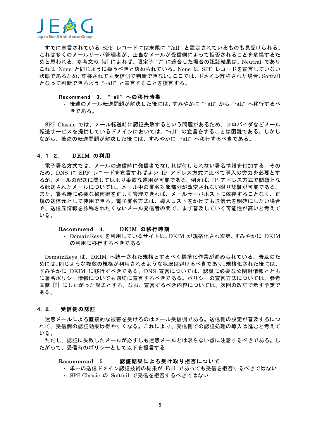

すでに宣言されている SPF レコードには末尾に "?all" と設定されているものも見受けられる。 これは多くのメールサーバ管理者が、正当なメールが受信側によって拒否されることを危惧するた めと思われる。参考文献「4]によれば、限定子"?"に適合した場合の認証結果は、Neutral であり これは None と同じように扱うべきと決められている。None は SPF レコードを宣言していない 状態であるため、詐称されても受信側で判断できない。ここでは、ドメイン詐称された場合、Softfail となって判断できるよう "~all"と宣言することを提言する。

### Recommend 3. "-all"への移行時期

・ 後述のメール転送問題が解決した後には、すみやかに"~all"から"-all"へ移行するべ きである。

SPF Classic では、メール転送時に認証失敗するという問題があるため、プロバイダなどメール 転送サービスを提供しているドメインにおいては、"-all"の宣言をすることは困難である。しかし ながら、後述の転送問題が解決した後には、すみやかに"-all"へ移行するべきである。

#### $4.1.2.$ DKIM の利用

電子署名方式では、メールの送信時に発信者でなければ付けられない署名情報を付加する。その ため、DNS に SPF レコードを宣言すればよい IP アドレス方式に比べて導入の労力を必要とす るが、メールの配送に関してはより柔軟な運用が可能である。例えば、IP アドレス方式で問題とな る転送されたメールについては、メール中の署名対象部分が改変されない限り認証が可能である。 また、署名時に必要な秘密鍵を正しく管理できれば、メールサーバホストに依存することなく、正 規の送信元として使用できる。電子署名方式は、導入コストをかけても送信元を明確にしたい場合 や、送信元情報を詐称されたくないメール発信者の間で、まず普及していく可能性が高いと考えて いる。

#### DKIM の移行時期 Recommend 4.

· DomainKeys を利用しているサイトは、DKIM が規格化され次第、すみやかに DKIM の利用に移行するべきである

DomainKeys は、DKIM へ統一された規格とするべく標準化作業が進められている。普及のた めには、同じような複数の規格が利用されるような状況は避けるべきであり、規格化された後には、 すみやかに DKIM に移行すべきである。DNS 宣言については、認証に必要な公関鍵情報ととも に署名ポリシー情報についても適切に宣言するべきである。ポリシーの宣言方法については、参考 文献「3]にしたがった形式とする。なお、宣言するべき内容については、次回の改訂で示す予定で ある。

#### 受信側の認証  $4.2.$

迷惑メールによる直接的な被害を受けるのはメール受信側である。送信側の設定が普及するにつ れて、受信側の認証効果は得やすくなる。これにより、受信側での認証処理の導入は進むと考えて いる。

ただし、認証に失敗したメールが必ずしも迷惑メールとは限らない点に注意するべきである。し たがって、受信時のポリシーとして以下を提言する

#### Recommend 5. 認証結果による受け取り拒否について

- · 単一の送信ドメイン認証技術の結果が Fail であっても受信を拒否するべきではない
- SPF Classic の Softfail で受信を拒否するべきではない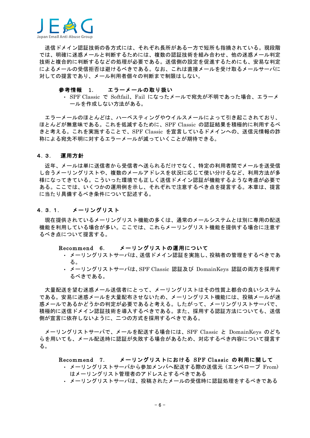

送信ドメイン認証技術の各方式には、それぞれ長所がある一方で短所も指摘されている。現段階 では、明確に迷惑メールと判断するためには、複数の認証技術を組み合わせ、他の迷惑メール判定 技術と複合的に判断するなどの処理が必要である。送信側の設定を促進するためにも、安易な判定 によるメールの受信拒否は避けるべきである。なお、これは直接メールを受け取るメールサーバに 対しての提言であり、メール利用者個々の判断まで制限はしない。

#### 参考情報 1. エラーメールの取り扱い

· SPF Classic で Softfail、Fail になったメールで宛先が不明であった場合、エラーメ ールを作成しない方法がある。

エラーメールのほとんどは、ハーベスティングやウイルスメールによって引き起こされており、 ほとんどが無意味である。これを低減するために、SPF Classic の認証結果を積極的に利用するべ きと考える。これを実施することで、SPF Classic を宣言しているドメインへの、送信元情報の詐 称による宛先不明に対するエラーメールが減っていくことが期待できる。

#### 4.3. 運用方針

近年、メールは単に送信者から受信者へ送られるだけでなく、特定の利用者間でメールを送受信 し合うメーリングリストや、複数のメールアドレスを状況に応じて使い分けるなど、利用方法が多 様になってきている。こういった環境でも正しく送信ドメイン認証が機能するような考慮が必要で ある。ここでは、いくつかの運用例を示し、それぞれで注意するべき点を提言する。本章は、提言 に当たり具備するべき条件について記述する。

#### $4.3.1.$ メーリングリスト

現在提供されているメーリングリスト機能の多くは、通常のメールシステムとは別に専用の配送 機能を利用している場合が多い。ここでは、これらメーリングリスト機能を提供する場合に注意す るべき点について提言する。

### Recommend 6. メーリングリストの運用について

- ・ メーリングリストサーバは、送信ドメイン認証を実施し、投稿者の管理をするべきであ る。
- ・ メーリングリストサーバは、SPF Classic 認証及び DomainKeys 認証の両方を採用す るべきである。

大量配送を望む迷惑メール送信者にとって、メーリングリストはその性質上都合の良いシステム である。安易に迷惑メールを大量配布させないため、メーリングリスト機能には、投稿メールが迷 惑メールであるかどうかの判定が必要であると考える。したがって、メーリングリストサーバで、 積極的に送信ドメイン認証技術を導入するべきである。また、採用する認証方法についても、送信 側が宣言に依存しないように、二つの方式を採用するべきである。

メーリングリストサーバで、メールを配送する場合には、SPF Classic と DomainKeys のどち らを用いても、メール配送時に認証が失敗する場合があるため、対応するべき内容について提言す る。

### Recommend 7. メーリングリストにおける SPF Classic の利用に関して

- メーリングリストサーバから参加メンバへ配送する際の送信元 (エンベロープ From) はメーリングリスト管理者のアドレスとするべきである
- ・ メーリングリストサーバは、投稿されたメールの受信時に認証処理をするべきである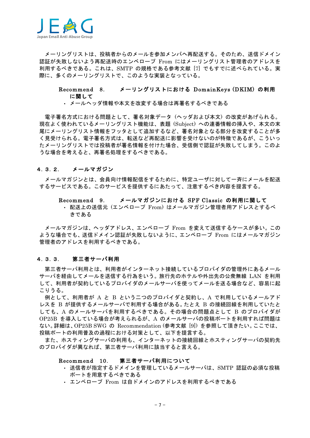

メーリングリストは、投稿者からのメールを参加メンバへ再配送する。そのため、送信ドメイン 認証が失敗しないよう再配送時のエンベロープ From にはメーリングリスト管理者のアドレスを 利用するべきである。これは、SMTP の規格である参考文献「7]でもすでに述べられている。実 際に、多くのメーリングリストで、このような実装となっている。

#### メーリングリストにおける DomainKevs(DKIM) の利用 Recommend 8. に関して

### • メールヘッダ情報や本文を改変する場合は再署名するべきである

電子署名方式における問題として、署名対象データ(ヘッダおよび本文)の改変があげられる。 現在よく使われているメーリングリスト機能は、表題 (Subiect) への連番情報の挿入や、本文の末 尾にメーリングリスト情報をフッタとして追加するなど、署名対象となる部分を改変することが多 く見受けられる。電子署名方式は、転送など再配送に影響を受けないのが特徴であるが、こういっ たメーリングリストでは投稿者が署名情報を付けた場合、受信側で認証が失敗してしまう。このよ うな場合を考えると、再署名処理をするべきである。

#### $4.3.2.$ メールマガジン

メールマガジンとは、会員向け情報配信をするために、特定ユーザに対して一斉にメールを配送 するサービスである。このサービスを提供するにあたって、注意するべき内容を提言する。

#### メールマガジンにおける SPF Classic の利用に関して Recommend 9.

・ 配送上の送信元(エンベロープ From)はメールマガジン管理者用アドレスとするべ きである

メールマガジンは、ヘッダアドレス、エンベロープ From を変えて送信するケースが多い。この ような場合でも、送信ドメイン認証が失敗しないように、エンベロープ From にはメールマガジン 管理者のアドレスを利用するべきである。

#### 第三者サーバ利用 4.3.3.

第三者サーバ利用とは、利用者がインターネット接続しているプロバイダの管理外にあるメール サーバを経由してメールを送信する行為をいう。旅行先のホテルや外出先の公衆無線 LAN を利用 して、利用者が契約しているプロバイダのメールサーバを使ってメールを送る場合など、容易に起 こりうる。

例として、利用者が A と B という二つのプロバイダと契約し、A で利用しているメールアド レスを B が提供するメールサーバで利用する場合がある。たとえ B の接続回線を利用していたと しても、A のメールサーバを利用するべきである。その場合の問題点として B のプロバイダが OP25B を導入している場合が考えられるが、A のメールサーバの投稿ポートを利用すれば問題は ない。詳細は、OP25B SWG の Recommendation (参考文献 [9]) を参照して頂きたい。ここでは、 投稿ポートの利用普及の過程における対策として、以下を提言する。

また、ホスティングサーバの利用も、インターネットの接続回線とホスティングサーバの契約先 のプロバイダが異なれば、第三者サーバ利用に該当すると言える。

### Recommend 10. 第三者サーバ利用について

- ・ 送信者が指定するドメインを管理しているメールサーバは、SMTP 認証の必須な投稿 ポートを用意するべきである
- · エンベロープ From は自ドメインのアドレスを利用するべきである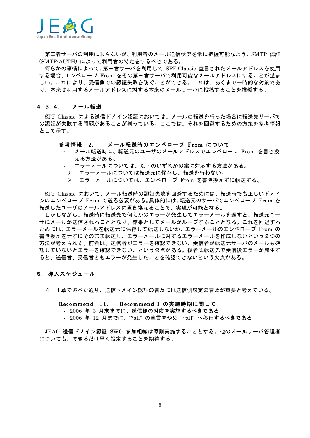

第三者サーバの利用に限らないが、利用者のメール送信状況を常に把握可能なよう、SMTP 認証 (SMTP-AUTH) によって利用者の特定をするべきである。

何らかの事情によって、第三者サーバを利用して SPF Classic 宣言されたメールアドレスを使用 する場合、エンベロープ From をその第三者サーバで利用可能なメールアドレスにすることが望ま しい。これにより、受信側での認証失敗を防ぐことができる。これは、あくまで一時的な対策であ り、本来は利用するメールアドレスに対する本来のメールサーバに投稿することを推奨する。

#### $4.3.4.$ メール転送

SPF Classic による送信ドメイン認証においては、メールの転送を行った場合に転送先サーバで の認証が失敗する問題があることが判っている。ここでは、それを回避するための方策を参考情報 として示す。

### 参考情報 2. メール転送時のエンベロープ From について

- メール転送時に、転送元のユーザのメールアドレスでエンベロープ From を書き換 える方法がある。
- エラーメールについては、以下のいずれかの案に対応する方法がある。
- ▶ エラーメールについては転送元に保存し、転送を行わない。
- > エラーメールについては、エンベロープ From を書き換えずに転送する。

SPF Classic において、メール転送時の認証失敗を回避するためには、転送時でも正しいドメイ ンのエンベロープ From で送る必要がある。具体的には、転送元のサーバでエンベロープ From を 転送したユーザのメールアドレスに置き換えることで、実現が可能となる。

しかしながら、転送時に転送先で何らかのエラーが発生してエラーメールを返すと、転送元ユー ザにメールが送信されることとなり、結果としてメールがループすることとなる。これを回避する ためには、エラーメールを転送元に保存して転送しないか、エラーメールのエンベロープ From の 書き換えをせずにそのまま転送し、エラーメールに対するエラーメールを作成しないという2つの 方法が考えられる。前者は、送信者がエラーを確認できない、受信者が転送元サーバのメールも確 認していないとエラーを確認できない、という欠点がある。後者は転送先で受信後エラーが発生す ると、送信者、受信者ともエラーが発生したことを確認できないという欠点がある。

### 5. 導入スケジュール

4.1章で述べた通り、送信ドメイン認証の普及には送信側設定の普及が重要と考えている。

### Recommend 11. Recommend 1 の実施時期に関して

- 2006 年 3 月末までに、送信側の対応を実施するべきである
- · 2006 年 12 月までに、"?all" の宣言をやめ "~all" へ移行するべきである

JEAG 送信ドメイン認証 SWG 参加組織は原則実施することとする。他のメールサーバ管理者 についても、できるだけ早く設定することを期待する。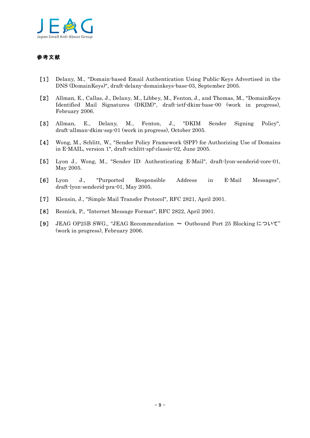

## 参考文献

- [1] Delany, M., "Domain-based Email Authentication Using Public-Keys Advertised in the DNS (DomainKeys)", draft-delany-domainkeys-base-03, September 2005.
- ȑ2Ȓ Allman, E., Callas, J., Delany, M., Libbey, M., Fenton, J., and Thomas, M., "DomainKeys Identified Mail Signatures (DKIM)", draft-ietf-dkim-base-00 (work in progress), February 2006.
- [3] Allman, E., Delany, M., Fenton, J., "DKIM Sender Signing Policy", draft-allman-dkim-ssp-01 (work in progress), October 2005.
- [4] Wong, M., Schlitt, W., "Sender Policy Framework (SPF) for Authorizing Use of Domains in E-MAIL, version 1", draft-schlitt-spf-classic-02, June 2005.
- [5] Lyon J., Wong, M., "Sender ID: Authenticating E-Mail", draft-lyon-senderid-core-01, May 2005.
- ȑ6Ȓ Lyon J., "Purported Responsible Address in E-Mail Messages", draft-lyon-senderid-pra-01, May 2005.
- ȑ7Ȓ Klensin, J., "Simple Mail Transfer Protocol", RFC 2821, April 2001.
- ȑ8Ȓ Resnick, P., "Internet Message Format", RFC 2822, April 2001.
- [9] JEAG OP25B SWG., "JEAG Recommendation  $\sim$  Outbound Port 25 Blocking  $\subset$   $\sup$ (work in progress), February 2006.